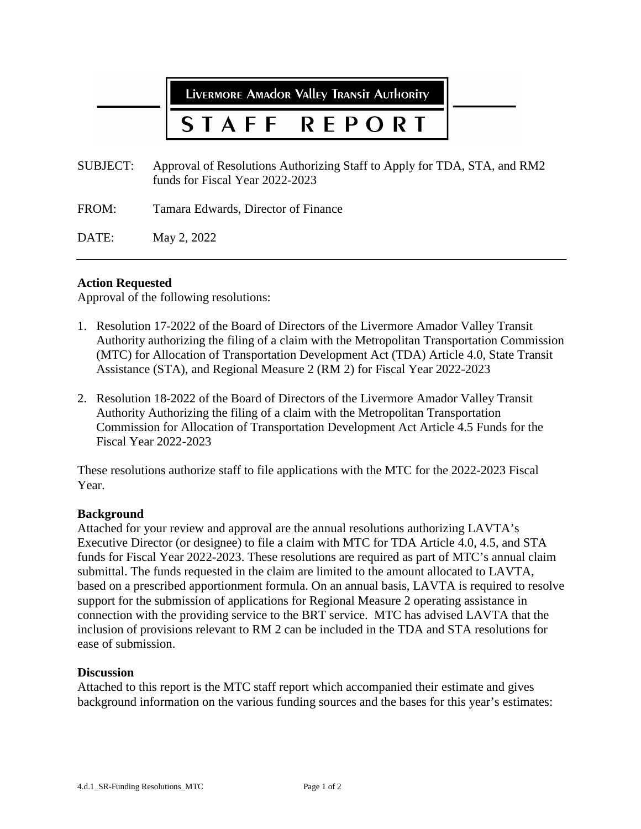LIVERMORE AMAdOR VAllEY TRANSIT AUTHORITY

# **REPORT**

- SUBJECT: Approval of Resolutions Authorizing Staff to Apply for TDA, STA, and RM2 funds for Fiscal Year 2022-2023
- FROM: Tamara Edwards, Director of Finance

DATE: May 2, 2022

### **Action Requested**

Approval of the following resolutions:

- 1. Resolution 17-2022 of the Board of Directors of the Livermore Amador Valley Transit Authority authorizing the filing of a claim with the Metropolitan Transportation Commission (MTC) for Allocation of Transportation Development Act (TDA) Article 4.0, State Transit Assistance (STA), and Regional Measure 2 (RM 2) for Fiscal Year 2022-2023
- 2. Resolution 18-2022 of the Board of Directors of the Livermore Amador Valley Transit Authority Authorizing the filing of a claim with the Metropolitan Transportation Commission for Allocation of Transportation Development Act Article 4.5 Funds for the Fiscal Year 2022-2023

These resolutions authorize staff to file applications with the MTC for the 2022-2023 Fiscal Year.

#### **Background**

Attached for your review and approval are the annual resolutions authorizing LAVTA's Executive Director (or designee) to file a claim with MTC for TDA Article 4.0, 4.5, and STA funds for Fiscal Year 2022-2023. These resolutions are required as part of MTC's annual claim submittal. The funds requested in the claim are limited to the amount allocated to LAVTA, based on a prescribed apportionment formula. On an annual basis, LAVTA is required to resolve support for the submission of applications for Regional Measure 2 operating assistance in connection with the providing service to the BRT service. MTC has advised LAVTA that the inclusion of provisions relevant to RM 2 can be included in the TDA and STA resolutions for ease of submission.

#### **Discussion**

Attached to this report is the MTC staff report which accompanied their estimate and gives background information on the various funding sources and the bases for this year's estimates: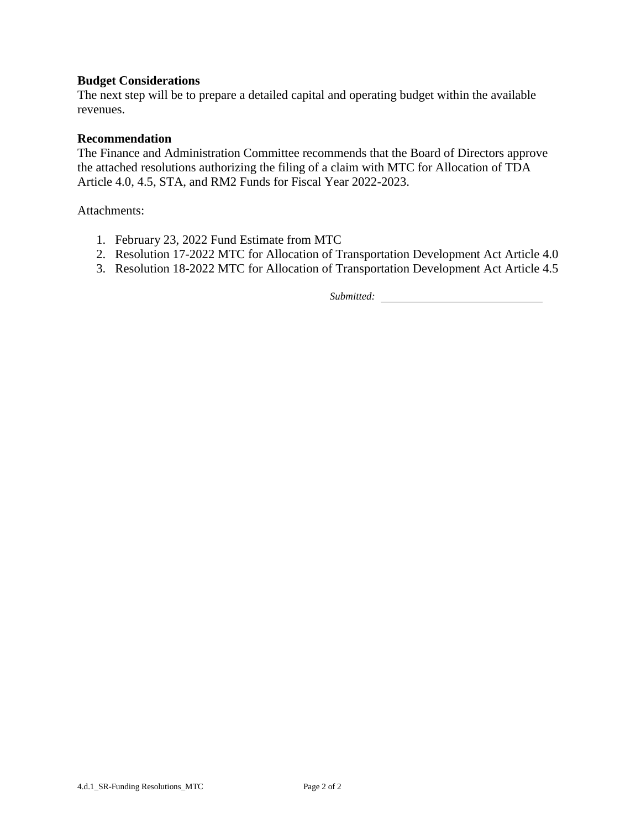## **Budget Considerations**

The next step will be to prepare a detailed capital and operating budget within the available revenues.

#### **Recommendation**

The Finance and Administration Committee recommends that the Board of Directors approve the attached resolutions authorizing the filing of a claim with MTC for Allocation of TDA Article 4.0, 4.5, STA, and RM2 Funds for Fiscal Year 2022-2023.

Attachments:

- 1. February 23, 2022 Fund Estimate from MTC
- 2. Resolution 17-2022 MTC for Allocation of Transportation Development Act Article 4.0
- 3. Resolution 18-2022 MTC for Allocation of Transportation Development Act Article 4.5

*Submitted:*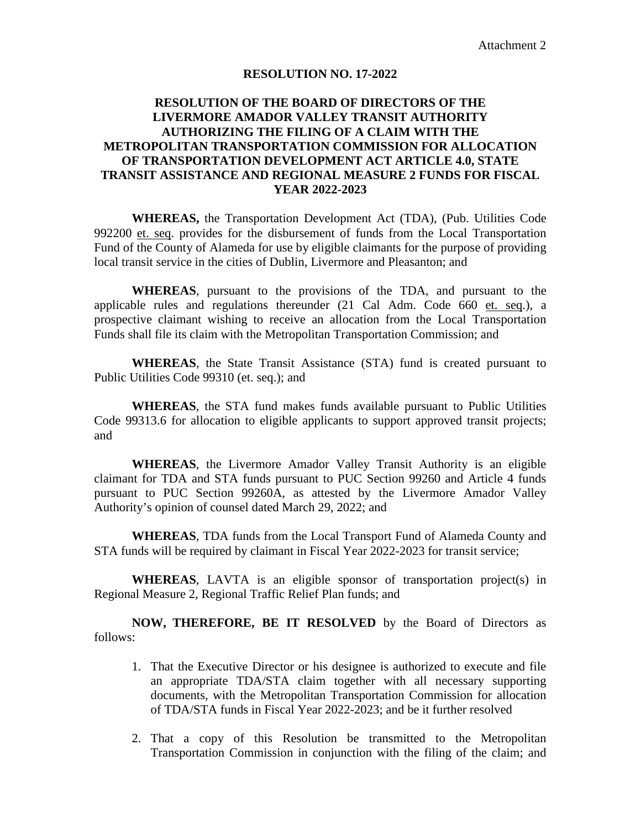#### **RESOLUTION NO. 17-2022**

# **RESOLUTION OF THE BOARD OF DIRECTORS OF THE LIVERMORE AMADOR VALLEY TRANSIT AUTHORITY AUTHORIZING THE FILING OF A CLAIM WITH THE METROPOLITAN TRANSPORTATION COMMISSION FOR ALLOCATION OF TRANSPORTATION DEVELOPMENT ACT ARTICLE 4.0, STATE TRANSIT ASSISTANCE AND REGIONAL MEASURE 2 FUNDS FOR FISCAL YEAR 2022-2023**

**WHEREAS,** the Transportation Development Act (TDA), (Pub. Utilities Code 992200 et. seq. provides for the disbursement of funds from the Local Transportation Fund of the County of Alameda for use by eligible claimants for the purpose of providing local transit service in the cities of Dublin, Livermore and Pleasanton; and

**WHEREAS**, pursuant to the provisions of the TDA, and pursuant to the applicable rules and regulations thereunder (21 Cal Adm. Code 660 et. seq.), a prospective claimant wishing to receive an allocation from the Local Transportation Funds shall file its claim with the Metropolitan Transportation Commission; and

**WHEREAS**, the State Transit Assistance (STA) fund is created pursuant to Public Utilities Code 99310 (et. seq.); and

**WHEREAS**, the STA fund makes funds available pursuant to Public Utilities Code 99313.6 for allocation to eligible applicants to support approved transit projects; and

**WHEREAS**, the Livermore Amador Valley Transit Authority is an eligible claimant for TDA and STA funds pursuant to PUC Section 99260 and Article 4 funds pursuant to PUC Section 99260A, as attested by the Livermore Amador Valley Authority's opinion of counsel dated March 29, 2022; and

**WHEREAS**, TDA funds from the Local Transport Fund of Alameda County and STA funds will be required by claimant in Fiscal Year 2022-2023 for transit service;

**WHEREAS**, LAVTA is an eligible sponsor of transportation project(s) in Regional Measure 2, Regional Traffic Relief Plan funds; and

**NOW, THEREFORE, BE IT RESOLVED** by the Board of Directors as follows:

- 1. That the Executive Director or his designee is authorized to execute and file an appropriate TDA/STA claim together with all necessary supporting documents, with the Metropolitan Transportation Commission for allocation of TDA/STA funds in Fiscal Year 2022-2023; and be it further resolved
- 2. That a copy of this Resolution be transmitted to the Metropolitan Transportation Commission in conjunction with the filing of the claim; and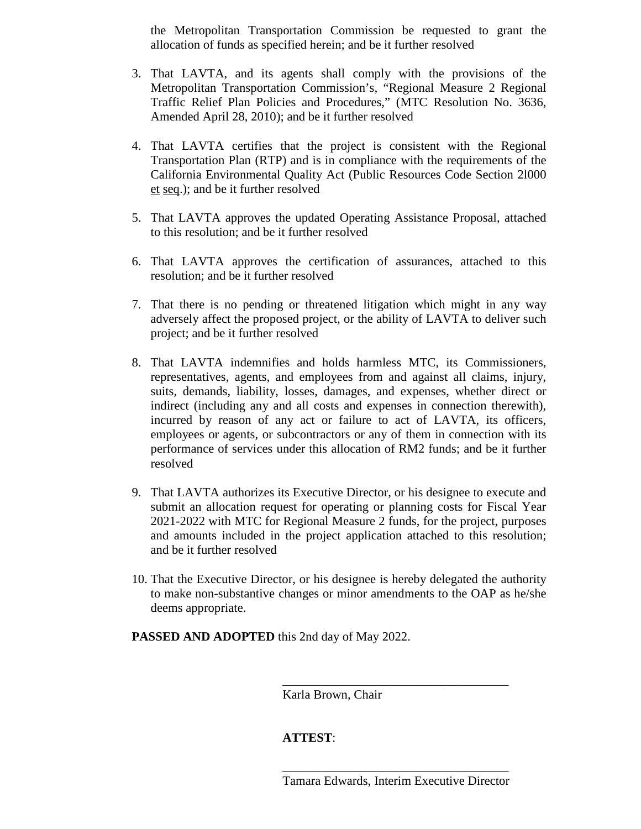the Metropolitan Transportation Commission be requested to grant the allocation of funds as specified herein; and be it further resolved

- 3. That LAVTA, and its agents shall comply with the provisions of the Metropolitan Transportation Commission's, "Regional Measure 2 Regional Traffic Relief Plan Policies and Procedures," (MTC Resolution No. 3636, Amended April 28, 2010); and be it further resolved
- 4. That LAVTA certifies that the project is consistent with the Regional Transportation Plan (RTP) and is in compliance with the requirements of the California Environmental Quality Act (Public Resources Code Section 2l000 et seq.); and be it further resolved
- 5. That LAVTA approves the updated Operating Assistance Proposal, attached to this resolution; and be it further resolved
- 6. That LAVTA approves the certification of assurances, attached to this resolution; and be it further resolved
- 7. That there is no pending or threatened litigation which might in any way adversely affect the proposed project, or the ability of LAVTA to deliver such project; and be it further resolved
- 8. That LAVTA indemnifies and holds harmless MTC, its Commissioners, representatives, agents, and employees from and against all claims, injury, suits, demands, liability, losses, damages, and expenses, whether direct or indirect (including any and all costs and expenses in connection therewith), incurred by reason of any act or failure to act of LAVTA, its officers, employees or agents, or subcontractors or any of them in connection with its performance of services under this allocation of RM2 funds; and be it further resolved
- 9. That LAVTA authorizes its Executive Director, or his designee to execute and submit an allocation request for operating or planning costs for Fiscal Year 2021-2022 with MTC for Regional Measure 2 funds, for the project, purposes and amounts included in the project application attached to this resolution; and be it further resolved
- 10. That the Executive Director, or his designee is hereby delegated the authority to make non-substantive changes or minor amendments to the OAP as he/she deems appropriate.

**PASSED AND ADOPTED** this 2nd day of May 2022.

Karla Brown, Chair

# **ATTEST**:

\_\_\_\_\_\_\_\_\_\_\_\_\_\_\_\_\_\_\_\_\_\_\_\_\_\_\_\_\_\_\_\_\_\_\_\_